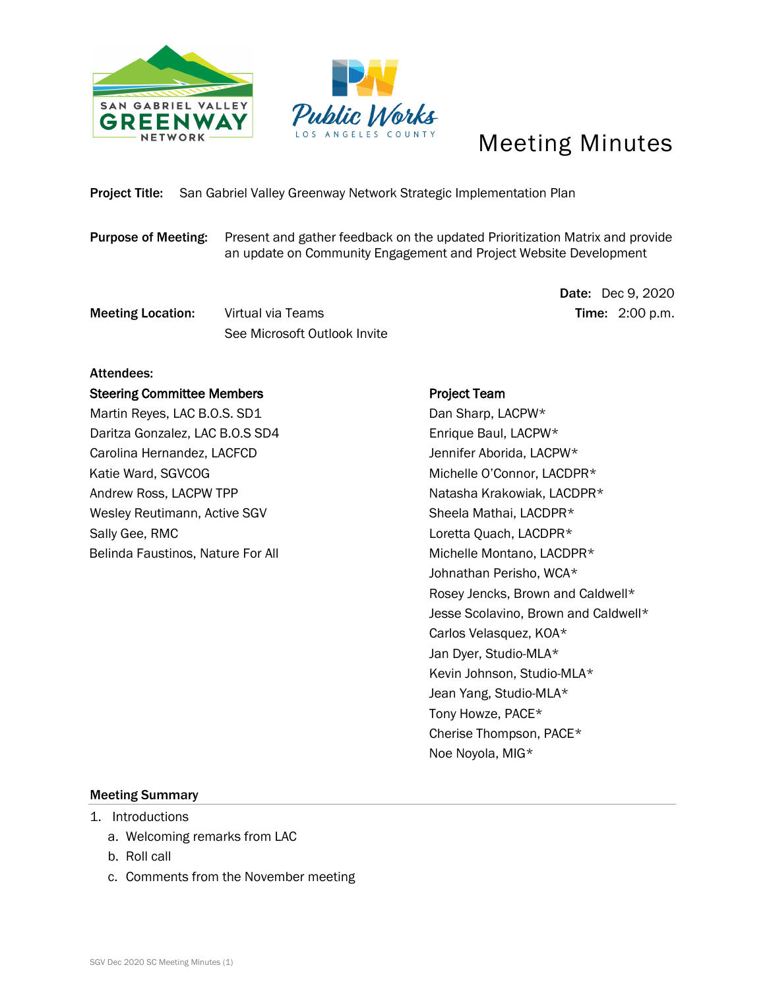



# Meeting Minutes

# Project Title: San Gabriel Valley Greenway Network Strategic Implementation Plan

Purpose of Meeting: Present and gather feedback on the updated Prioritization Matrix and provide an update on Community Engagement and Project Website Development

**Meeting Location:** Virtual via Teams Time: 2:00 p.m. See Microsoft Outlook Invite

Date: Dec 9, 2020

## Attendees:

#### Steering Committee Members

Martin Reyes, LAC B.O.S. SD1 Daritza Gonzalez, LAC B.O.S SD4 Carolina Hernandez, LACFCD Katie Ward, SGVCOG Andrew Ross, LACPW TPP Wesley Reutimann, Active SGV Sally Gee, RMC Belinda Faustinos, Nature For All

## Project Team

 Dan Sharp, LACPW\* Enrique Baul, LACPW\* Jennifer Aborida, LACPW\* Michelle O'Connor, LACDPR\* Natasha Krakowiak, LACDPR\* Sheela Mathai, LACDPR\* Loretta Quach, LACDPR\* Michelle Montano, LACDPR\* Johnathan Perisho, WCA\* Rosey Jencks, Brown and Caldwell\* Jesse Scolavino, Brown and Caldwell\* Carlos Velasquez, KOA\* Jan Dyer, Studio-MLA\* Kevin Johnson, Studio-MLA\* Jean Yang, Studio-MLA\* Tony Howze, PACE\* Cherise Thompson, PACE\* Noe Noyola, MIG\*

## Meeting Summary

- 1. Introductions
	- a. Welcoming remarks from LAC
	- b. Roll call
	- c. Comments from the November meeting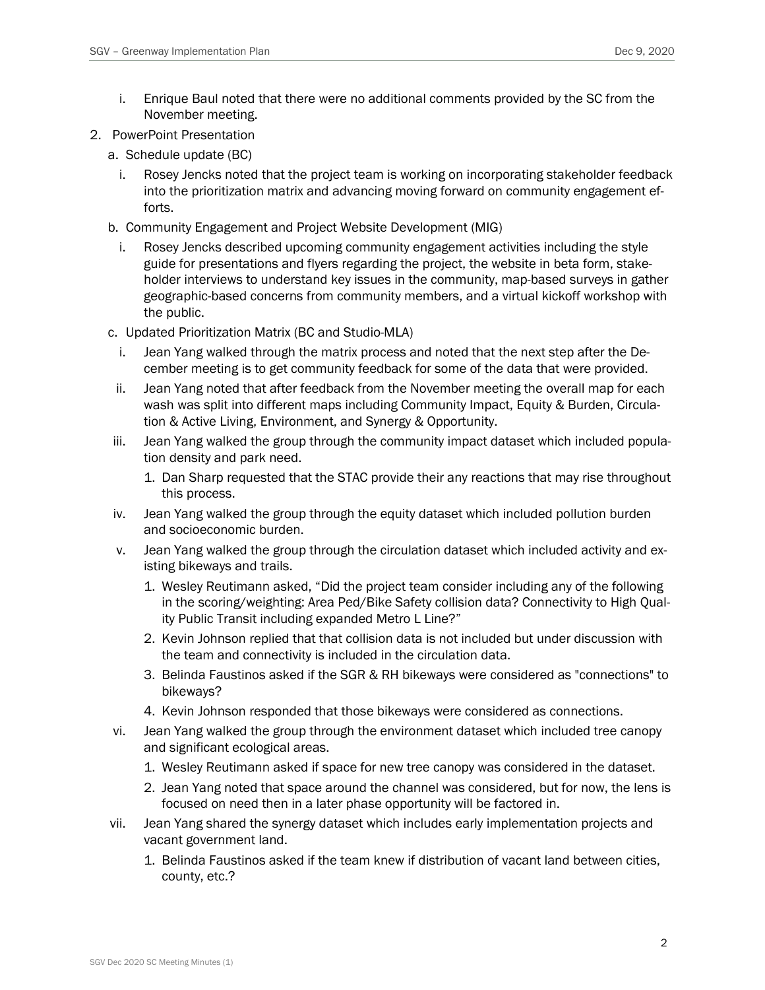- i. Enrique Baul noted that there were no additional comments provided by the SC from the November meeting.
- 2. PowerPoint Presentation
	- a. Schedule update (BC)
		- i. Rosey Jencks noted that the project team is working on incorporating stakeholder feedback into the prioritization matrix and advancing moving forward on community engagement efforts.
	- b. Community Engagement and Project Website Development (MIG)
		- Rosey Jencks described upcoming community engagement activities including the style guide for presentations and flyers regarding the project, the website in beta form, stakeholder interviews to understand key issues in the community, map-based surveys in gather geographic-based concerns from community members, and a virtual kickoff workshop with the public.
	- c. Updated Prioritization Matrix (BC and Studio-MLA)
		- i. Jean Yang walked through the matrix process and noted that the next step after the December meeting is to get community feedback for some of the data that were provided.
	- ii. Jean Yang noted that after feedback from the November meeting the overall map for each wash was split into different maps including Community Impact, Equity & Burden, Circulation & Active Living, Environment, and Synergy & Opportunity.
	- iii. Jean Yang walked the group through the community impact dataset which included population density and park need.
		- 1. Dan Sharp requested that the STAC provide their any reactions that may rise throughout this process.
	- iv. Jean Yang walked the group through the equity dataset which included pollution burden and socioeconomic burden.
	- v. Jean Yang walked the group through the circulation dataset which included activity and existing bikeways and trails.
		- 1. Wesley Reutimann asked, "Did the project team consider including any of the following in the scoring/weighting: Area Ped/Bike Safety collision data? Connectivity to High Quality Public Transit including expanded Metro L Line?"
		- 2. Kevin Johnson replied that that collision data is not included but under discussion with the team and connectivity is included in the circulation data.
		- 3. Belinda Faustinos asked if the SGR & RH bikeways were considered as "connections" to bikeways?
		- 4. Kevin Johnson responded that those bikeways were considered as connections.
	- vi. Jean Yang walked the group through the environment dataset which included tree canopy and significant ecological areas.
		- 1. Wesley Reutimann asked if space for new tree canopy was considered in the dataset.
		- 2. Jean Yang noted that space around the channel was considered, but for now, the lens is focused on need then in a later phase opportunity will be factored in.
	- vii. Jean Yang shared the synergy dataset which includes early implementation projects and vacant government land.
		- 1. Belinda Faustinos asked if the team knew if distribution of vacant land between cities, county, etc.?